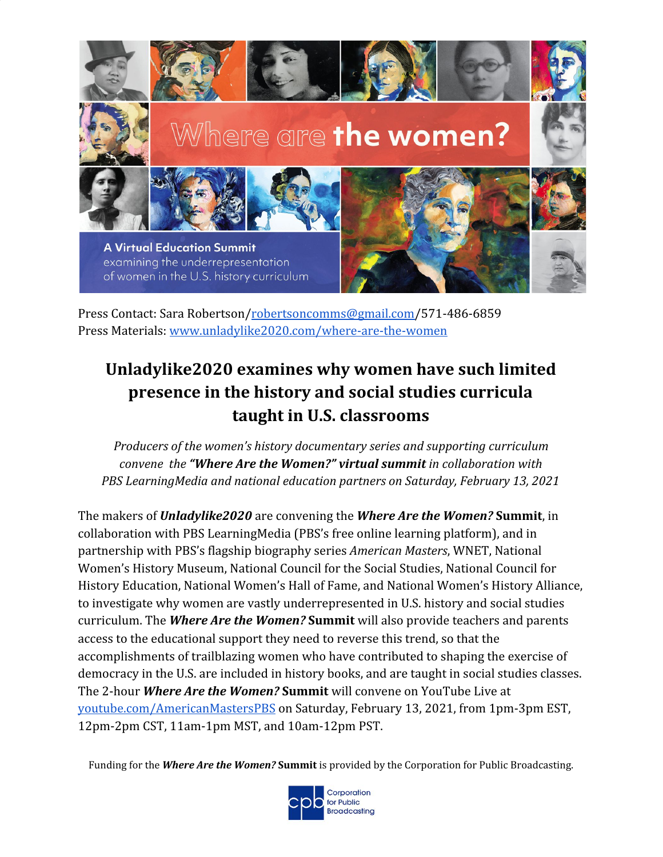

Press Contact: Sara Robertson/[robertsoncomms@gmail.com](mailto:robertsoncomms@gmail.com)/571-486-6859 Press Materials: [www.unladylike2020.com/where-are-the-women](http://www.unladylike2020.com/events/where-are-the-women)

# **Unladylike2020 examines why women have such limited presence in the history and social studies curricula taught in U.S. classrooms**

*Producers of the women's history documentary series and supporting curriculum convene the "Where Are the Women?" virtual summit in collaboration with PBS LearningMedia and national education partners on Saturday, February 13, 2021*

The makers of *Unladylike2020* are convening the *Where Are the Women?* **Summit**, in collaboration with PBS LearningMedia (PBS's free online learning platform), and in partnership with PBS's flagship biography series *American Masters*, WNET, National Women's History Museum, National Council for the Social Studies, National Council for History Education, National Women's Hall of Fame, and National Women's History Alliance, to investigate why women are vastly underrepresented in U.S. history and social studies curriculum. The *Where Are the Women?* **Summit** will also provide teachers and parents access to the educational support they need to reverse this trend, so that the accomplishments of trailblazing women who have contributed to shaping the exercise of democracy in the U.S. are included in history books, and are taught in social studies classes. The 2-hour *Where Are the Women?* **Summit** will convene on YouTube Live at [youtube.com/AmericanMastersPBS](http://youtube.com/AmericanMastersPBS) on Saturday, February 13, 2021, from 1pm-3pm EST, 12pm-2pm CST, 11am-1pm MST, and 10am-12pm PST.

Funding for the *Where Are the Women?* **Summit** is provided by the Corporation for Public Broadcasting.

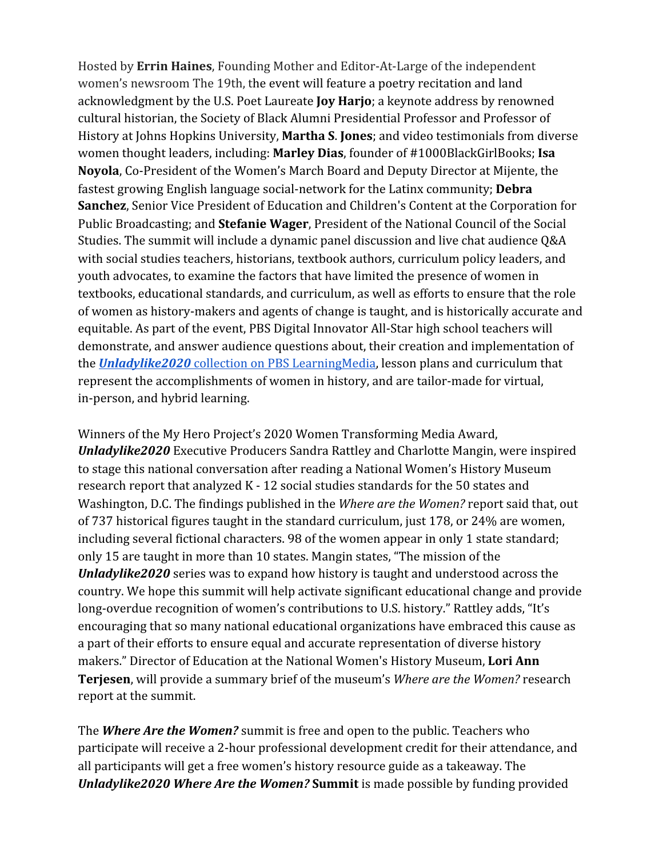Hosted by **Errin Haines**, Founding Mother and Editor-At-Large of the independent women's newsroom The 19th, the event will feature a poetry recitation and land acknowledgment by the U.S. Poet Laureate **Joy Harjo**; a keynote address by renowned cultural historian, the Society of Black Alumni Presidential Professor and Professor of History at Johns Hopkins University, **Martha S**. **Jones**; and video testimonials from diverse women thought leaders, including: **Marley Dias**, founder of #1000BlackGirlBooks; **Isa Noyola**, Co-President of the Women's March Board and Deputy Director at Mijente, the fastest growing English language social-network for the Latinx community; **Debra Sanchez**, Senior Vice President of Education and Children's Content at the Corporation for Public Broadcasting; and **Stefanie Wager**, President of the National Council of the Social Studies. The summit will include a dynamic panel discussion and live chat audience Q&A with social studies teachers, historians, textbook authors, curriculum policy leaders, and youth advocates, to examine the factors that have limited the presence of women in textbooks, educational standards, and curriculum, as well as efforts to ensure that the role of women as history-makers and agents of change is taught, and is historically accurate and equitable. As part of the event, PBS Digital Innovator All-Star high school teachers will demonstrate, and answer audience questions about, their creation and implementation of the *[Unladylike2020](https://www.pbslearningmedia.org/collection/unladylike2020/)* [collection on PBS LearningMedia](https://www.pbslearningmedia.org/collection/unladylike2020/), lesson plans and curriculum that represent the accomplishments of women in history, and are tailor-made for virtual, in-person, and hybrid learning.

Winners of the My Hero Project's 2020 Women Transforming Media Award, *Unladylike2020* Executive Producers Sandra Rattley and Charlotte Mangin, were inspired to stage this national conversation after reading a National Women's History Museum research report that analyzed K - 12 social studies standards for the 50 states and Washington, D.C. The findings published in the *Where are the Women?* report said that, out of 737 historical figures taught in the standard curriculum, just 178, or 24% are women, including several fictional characters. 98 of the women appear in only 1 state standard; only 15 are taught in more than 10 states. Mangin states, "The mission of the *Unladylike2020* series was to expand how history is taught and understood across the country. We hope this summit will help activate significant educational change and provide long-overdue recognition of women's contributions to U.S. history." Rattley adds, "It's encouraging that so many national educational organizations have embraced this cause as a part of their efforts to ensure equal and accurate representation of diverse history makers." Director of Education at the National Women's History Museum, **Lori Ann Terjesen**, will provide a summary brief of the museum's *Where are the Women?* research report at the summit.

The *Where Are the Women?* summit is free and open to the public. Teachers who participate will receive a 2-hour professional development credit for their attendance, and all participants will get a free women's history resource guide as a takeaway. The *Unladylike2020 Where Are the Women?* **Summit** is made possible by funding provided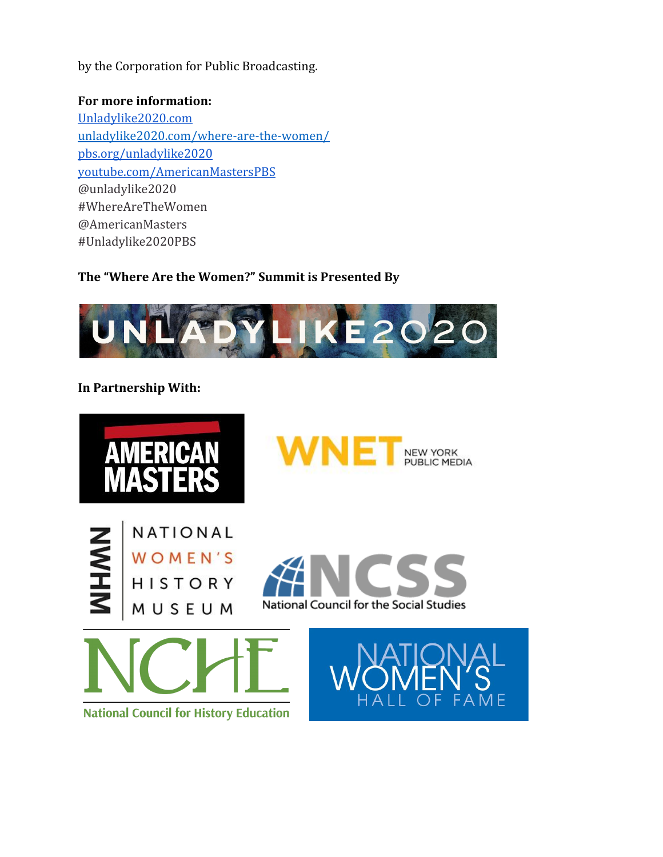by the Corporation for Public Broadcasting.

### **For more information:**

[Unladylike2020.com](https://unladylike2020.com/) unladylike2020.com/where-are-the-women/ [pbs.org/unladylike2020](http://pbs.org/unladylike2020) [youtube.com/AmericanMastersPBS](http://youtube.com/AmericanMastersPBS) @unladylike2020 #WhereAreTheWomen @AmericanMasters #Unladylike2020PBS

## **The "Where Are the Women?" Summit is Presented By**



## **In Partnership With:**

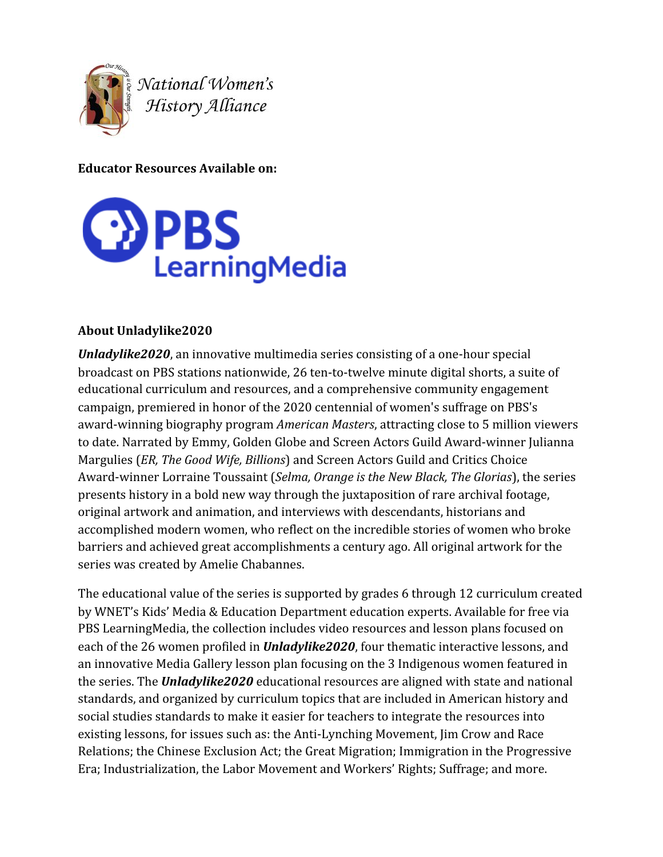

National Women's<br>History Alliance

**Educator Resources Available on:**



## **About Unladylike2020**

*Unladylike2020*, an innovative multimedia series consisting of a one-hour special broadcast on PBS stations nationwide, 26 ten-to-twelve minute digital shorts, a suite of educational curriculum and resources, and a comprehensive community engagement campaign, premiered in honor of the 2020 centennial of women's suffrage on PBS's award-winning biography program *American Masters*, attracting close to 5 million viewers to date. Narrated by Emmy, Golden Globe and Screen Actors Guild Award-winner Julianna Margulies (*ER, The Good Wife, Billions*) and Screen Actors Guild and Critics Choice Award-winner Lorraine Toussaint (*Selma, Orange is the New Black, The Glorias*), the series presents history in a bold new way through the juxtaposition of rare archival footage, original artwork and animation, and interviews with descendants, historians and accomplished modern women, who reflect on the incredible stories of women who broke barriers and achieved great accomplishments a century ago. All original artwork for the series was created by Amelie Chabannes.

The educational value of the series is supported by grades 6 through 12 curriculum created by WNET's Kids' Media & Education Department education experts. Available for free via PBS LearningMedia, the collection includes video resources and lesson plans focused on each of the 26 women profiled in *Unladylike2020*, four thematic interactive lessons, and an innovative Media Gallery lesson plan focusing on the 3 Indigenous women featured in the series. The *Unladylike2020* educational resources are aligned with state and national standards, and organized by curriculum topics that are included in American history and social studies standards to make it easier for teachers to integrate the resources into existing lessons, for issues such as: the Anti-Lynching Movement, Jim Crow and Race Relations; the Chinese Exclusion Act; the Great Migration; Immigration in the Progressive Era; Industrialization, the Labor Movement and Workers' Rights; Suffrage; and more.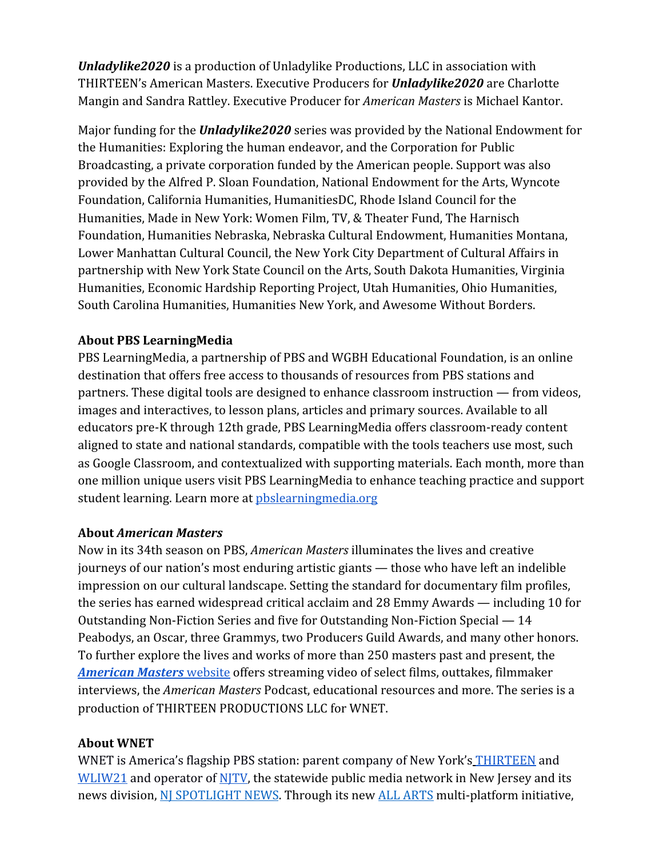*Unladylike2020* is a production of Unladylike Productions, LLC in association with THIRTEEN's American Masters. Executive Producers for *Unladylike2020* are Charlotte Mangin and Sandra Rattley. Executive Producer for *American Masters* is Michael Kantor.

Major funding for the *Unladylike2020* series was provided by the National Endowment for the Humanities: Exploring the human endeavor, and the Corporation for Public Broadcasting, a private corporation funded by the American people. Support was also provided by the Alfred P. Sloan Foundation, National Endowment for the Arts, Wyncote Foundation, California Humanities, HumanitiesDC, Rhode Island Council for the Humanities, Made in New York: Women Film, TV, & Theater Fund, The Harnisch Foundation, Humanities Nebraska, Nebraska Cultural Endowment, Humanities Montana, Lower Manhattan Cultural Council, the New York City Department of Cultural Affairs in partnership with New York State Council on the Arts, South Dakota Humanities, Virginia Humanities, Economic Hardship Reporting Project, Utah Humanities, Ohio Humanities, South Carolina Humanities, Humanities New York, and Awesome Without Borders.

## **About PBS LearningMedia**

PBS LearningMedia, a partnership of PBS and WGBH Educational Foundation, is an online destination that offers free access to thousands of resources from PBS stations and partners. These digital tools are designed to enhance classroom instruction — from videos, images and interactives, to lesson plans, articles and primary sources. Available to all educators pre-K through 12th grade, PBS LearningMedia offers classroom-ready content aligned to state and national standards, compatible with the tools teachers use most, such as Google Classroom, and contextualized with supporting materials. Each month, more than one million unique users visit PBS LearningMedia to enhance teaching practice and support student learning. Learn more at phslearningmedia.org

#### **About** *American Masters*

Now in its 34th season on PBS, *American Masters* illuminates the lives and creative journeys of our nation's most enduring artistic giants — those who have left an indelible impression on our cultural landscape. Setting the standard for documentary film profiles, the series has earned widespread critical acclaim and 28 Emmy Awards — including 10 for Outstanding Non-Fiction Series and five for Outstanding Non-Fiction Special — 14 Peabodys, an Oscar, three Grammys, two Producers Guild Awards, and many other honors. To further explore the lives and works of more than 250 masters past and present, the *[American Masters](http://pbs.org/americanmasters)* [website](http://pbs.org/americanmasters) offers streaming video of select films, outtakes, filmmaker interviews, the *American Masters* Podcast, educational resources and more. The series is a production of THIRTEEN PRODUCTIONS LLC for WNET.

#### **About WNET**

WNET is America's flagship PBS station: parent company of New York's [THIRTEEN](http://thirteen.org/) and [WLIW21](http://wliw.org/) and operator of [NJTV,](http://www.njtvonline.org/) the statewide public media network in New Jersey and its news division, [NJ SPOTLIGHT NEWS](https://www.njspotlight.com/). Through its new **[ALL ARTS](http://allarts.org/)** multi-platform initiative,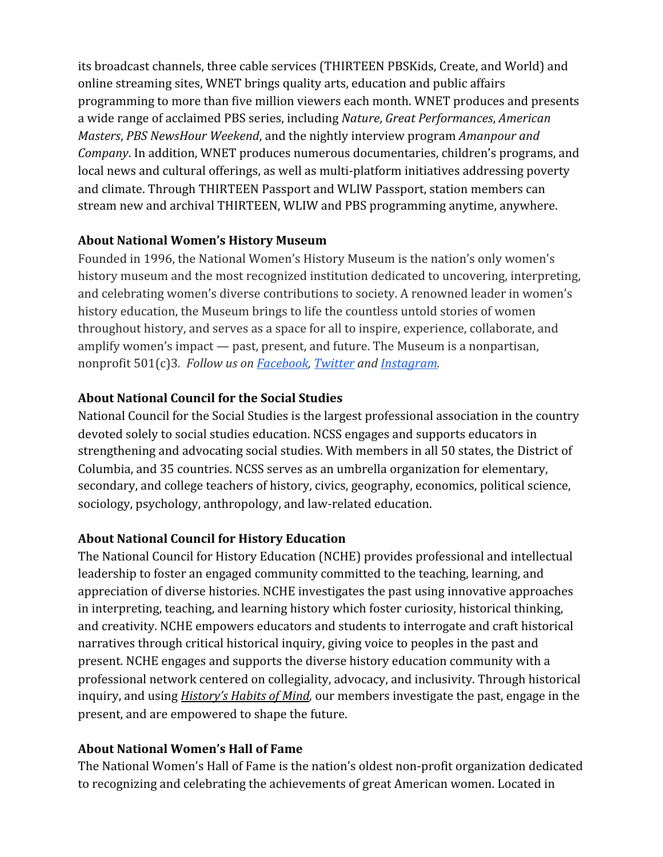its broadcast channels, three cable services (THIRTEEN PBSKids, Create, and World) and online streaming sites, WNET brings quality arts, education and public affairs programming to more than five million viewers each month. WNET produces and presents a wide range of acclaimed PBS series, including *Nature*, *Great Performances*, *American Masters*, *PBS NewsHour Weekend*, and the nightly interview program *Amanpour and Company*. In addition, WNET produces numerous documentaries, children's programs, and local news and cultural offerings, as well as multi-platform initiatives addressing poverty and climate. Through THIRTEEN Passport and WLIW Passport, station members can stream new and archival THIRTEEN, WLIW and PBS programming anytime, anywhere.

## **About National Women's History Museum**

Founded in 1996, the National Women's History Museum is the nation's only women's history museum and the most recognized institution dedicated to uncovering, interpreting, and celebrating women's diverse contributions to society. A renowned leader in women's history education, the Museum brings to life the countless untold stories of women throughout history, and serves as a space for all to inspire, experience, collaborate, and amplify women's impact — past, present, and future. The Museum is a nonpartisan, nonprofit 501(c)3*. Follow us on [Facebook,](https://www.facebook.com/womenshistory/) [Twitter](https://twitter.com/womenshistory) and [Instagram](https://www.instagram.com/womenshistory/).*

## **About National Council for the Social Studies**

National Council for the Social Studies is the largest professional association in the country devoted solely to social studies education. NCSS engages and supports educators in strengthening and advocating social studies. With members in all 50 states, the District of Columbia, and 35 countries. NCSS serves as an umbrella organization for elementary, secondary, and college teachers of history, civics, geography, economics, political science, sociology, psychology, anthropology, and law-related education.

#### **About National Council for History Education**

The National Council for History Education (NCHE) provides professional and intellectual leadership to foster an engaged community committed to the teaching, learning, and appreciation of diverse histories. NCHE investigates the past using innovative approaches in interpreting, teaching, and learning history which foster curiosity, historical thinking, and creativity. NCHE empowers educators and students to interrogate and craft historical narratives through critical historical inquiry, giving voice to peoples in the past and present. NCHE engages and supports the diverse history education community with a professional network centered on collegiality, advocacy, and inclusivity. Through historical inquiry, and using *[History's Habits of Mind](https://ncheteach.org/Historys-Habits-of-Mind),* our members investigate the past, engage in the present, and are empowered to shape the future.

#### **About National Women's Hall of Fame**

The National Women's Hall of Fame is the nation's oldest non-profit organization dedicated to recognizing and celebrating the achievements of great American women. Located in